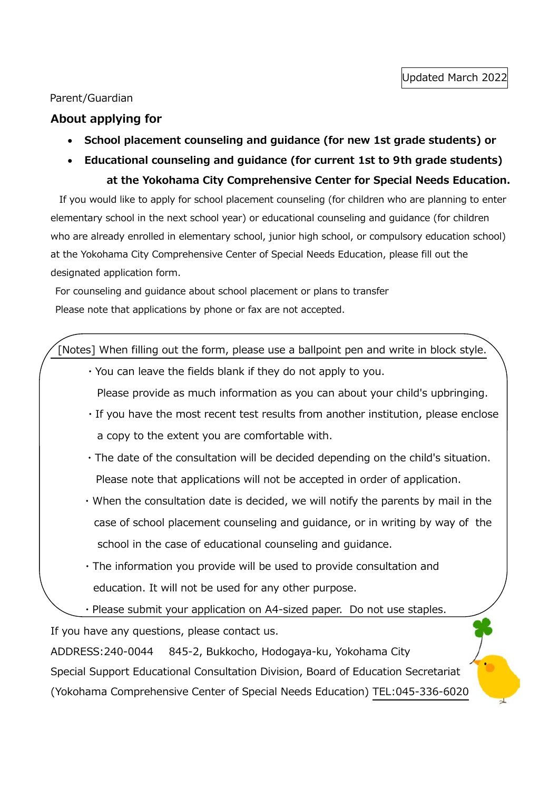#### Parent/Guardian

#### **About applying for**

- **School placement counseling and guidance (for new 1st grade students) or**
- **Educational counseling and guidance (for current 1st to 9th grade students) at the Yokohama City Comprehensive Center for Special Needs Education.**

If you would like to apply for school placement counseling (for children who are planning to enter elementary school in the next school year) or educational counseling and guidance (for children who are already enrolled in elementary school, junior high school, or compulsory education school) at the Yokohama City Comprehensive Center of Special Needs Education, please fill out the designated application form.

For counseling and guidance about school placement or plans to transfer Please note that applications by phone or fax are not accepted.

[Notes] When filling out the form, please use a ballpoint pen and write in block style.

・You can leave the fields blank if they do not apply to you.

Please provide as much information as you can about your child's upbringing.

- ・If you have the most recent test results from another institution, please enclose a copy to the extent you are comfortable with.
- ・The date of the consultation will be decided depending on the child's situation. Please note that applications will not be accepted in order of application.
- ・When the consultation date is decided, we will notify the parents by mail in the case of school placement counseling and guidance, or in writing by way of the school in the case of educational counseling and guidance.
- ・The information you provide will be used to provide consultation and education. It will not be used for any other purpose.
- ・Please submit your application on A4-sized paper. Do not use staples.

If you have any questions, please contact us.

ADDRESS:240-0044 845-2, Bukkocho, Hodogaya-ku, Yokohama City Special Support Educational Consultation Division, Board of Education Secretariat (Yokohama Comprehensive Center of Special Needs Education) TEL:045-336-6020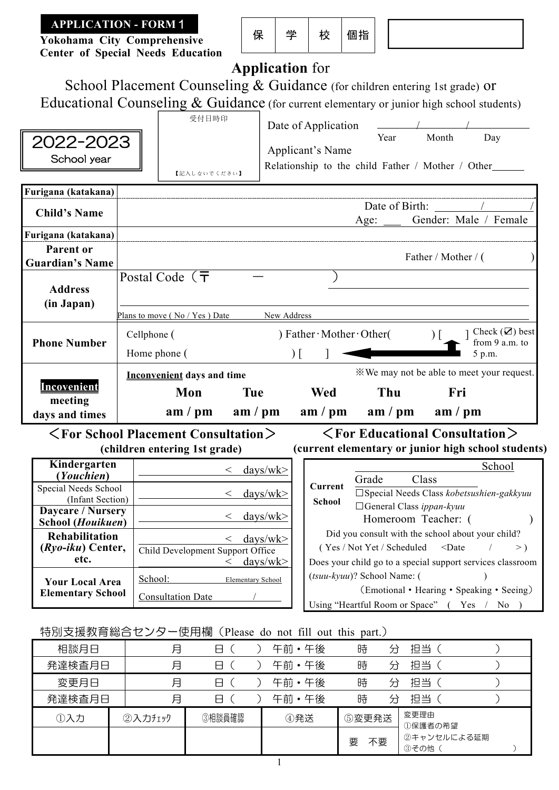**Yokohama City Comprehensive Center of Special Needs Education** 

| 22.<br>17 | ಸಾ | 個指 |
|-----------|----|----|
|-----------|----|----|



# **Application** for

School Placement Counseling & Guidance (for children entering 1st grade) or Educational Counseling & Guidance (for current elementary or junior high school students)

| 2022-2023<br>School year                                                                       |                             | 受付日時印<br>【記入しないでください】                                                    |                                                                              | Date of Application<br>Applicant's Name<br>Relationship to the child Father / Mother / Other | Year                                              | Month                                                                                                                       | Day                                                        |
|------------------------------------------------------------------------------------------------|-----------------------------|--------------------------------------------------------------------------|------------------------------------------------------------------------------|----------------------------------------------------------------------------------------------|---------------------------------------------------|-----------------------------------------------------------------------------------------------------------------------------|------------------------------------------------------------|
| Furigana (katakana)<br><b>Child's Name</b>                                                     |                             |                                                                          |                                                                              |                                                                                              | Date of Birth:<br>Age:                            | Gender: Male / Female                                                                                                       |                                                            |
| Furigana (katakana)<br><b>Parent or</b><br><b>Guardian's Name</b>                              |                             |                                                                          |                                                                              |                                                                                              |                                                   | Father / Mother / (                                                                                                         |                                                            |
| <b>Address</b><br>(in Japan)                                                                   |                             | Postal Code $($ $\overline{\mathbf{T}}$<br>Plans to move (No / Yes) Date | New Address                                                                  |                                                                                              |                                                   |                                                                                                                             |                                                            |
| <b>Phone Number</b>                                                                            | Cellphone (<br>Home phone ( |                                                                          |                                                                              | $)$ Father $\cdot$ Mother $\cdot$ Other(<br>$\Gamma$                                         |                                                   |                                                                                                                             | Check $(\mathbf{\nabla})$ best<br>from 9 a.m. to<br>5 p.m. |
| Incovenient<br>meeting<br>days and times                                                       |                             | <b>Inconvenient days and time</b><br>Mon<br>am / pm                      | <b>Tue</b><br>am / pm                                                        | <b>Wed</b><br>am / pm                                                                        | Thu<br>am / pm                                    | *We may not be able to meet your request.<br>Fri<br>am / pm                                                                 |                                                            |
| $\langle$ For School Placement Consultation $\rangle$                                          |                             | (children entering 1st grade)                                            |                                                                              | (current elementary or junior high school students)                                          |                                                   | $\langle$ For Educational Consultation $\rangle$                                                                            |                                                            |
| Kindergarten<br>(Youchien)<br>Special Needs School<br>(Infant Section)                         |                             |                                                                          | $\frac{days/wk}{x}$<br>$\lt$<br>$\frac{days}{w}$<br>$\lt$                    | Current<br><b>School</b>                                                                     | Grade<br>$\Box$ General Class ippan-kyuu          | Class<br>□ Special Needs Class kobetsushien-gakkyuu                                                                         | School                                                     |
| Daycare / Nursery<br>School (Houikuen)<br><b>Rehabilitation</b><br>$(Ryo-iku)$ Center,<br>etc. |                             | Child Development Support Office                                         | $\frac{days}{wk}$<br>$\lt$<br>$\frac{days}{wk}$<br>$\lt$<br>$\frac{days}{w}$ |                                                                                              | Homeroom Teacher: (<br>(Yes / Not Yet / Scheduled | Did you consult with the school about your child?<br>$<$ Date<br>Does your child go to a special support services classroom | $>$ )                                                      |
| <b>Your Local Area</b><br><b>Elementary School</b>                                             | School:                     | <b>Consultation Date</b>                                                 | Elementary School                                                            |                                                                                              | (tsuu-kyuu)? School Name: (                       | (Emotional • Hearing • Speaking • Seeing)<br>Using "Heartful Room or Space" (Yes / No )                                     |                                                            |

特別支援教育総合センター使用欄(Please do not fill out this part.)

| 相談月日   | 月       | 8      | 午前·午後 | 時       | 分 | 担当                  |  |
|--------|---------|--------|-------|---------|---|---------------------|--|
| 発達検査月日 | 月       | A      | 午前·午後 | 時       | 分 | 抇当                  |  |
| 変更月日   | 月       | A      | 午前·午後 | 時       | 分 | 抇当                  |  |
| 発達検査月日 | 月       | A      | 午前·午後 | 時       | 分 | 担当                  |  |
| ①入力    | ②入力チェック | ③相談員確認 | ④発送   | ⑤変更発送   |   | 変更理由<br>①保護者の希望     |  |
|        |         |        |       | 不要<br>要 |   | 2キャンセルによる延期<br>③その他 |  |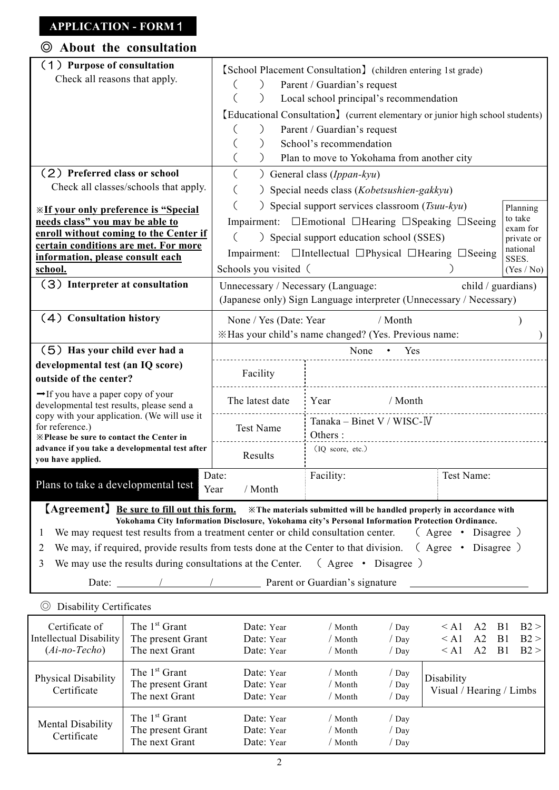| About the consultation<br>◎                                                                                                                                                                                                                                      |                                                                                          |                                                                                                                                                                                                                                                                                                                                                                             |                                                       |                                                                                  |
|------------------------------------------------------------------------------------------------------------------------------------------------------------------------------------------------------------------------------------------------------------------|------------------------------------------------------------------------------------------|-----------------------------------------------------------------------------------------------------------------------------------------------------------------------------------------------------------------------------------------------------------------------------------------------------------------------------------------------------------------------------|-------------------------------------------------------|----------------------------------------------------------------------------------|
| (1) Purpose of consultation<br>Check all reasons that apply.<br>(2) Preferred class or school<br>Check all classes/schools that apply.                                                                                                                           | (                                                                                        | [School Placement Consultation] (children entering 1st grade)<br>Parent / Guardian's request<br>Local school principal's recommendation<br>[Educational Consultation] (current elementary or junior high school students)<br>Parent / Guardian's request<br>School's recommendation<br>Plan to move to Yokohama from another city<br>$)$ General class ( <i>Ippan-kyu</i> ) |                                                       |                                                                                  |
| <b><u><i>*If your only preference is "Special</i></u></b><br>needs class" you may be able to<br>enroll without coming to the Center if<br>certain conditions are met. For more<br>information, please consult each<br>school.<br>(3) Interpreter at consultation | $\left($<br>(<br>$\left($<br>Schools you visited (<br>Unnecessary / Necessary (Language: | ) Special needs class (Kobetsushien-gakkyu)<br>) Special support services classroom $(Tsuu-kyu)$<br>Impairment: □Emotional □Hearing □Speaking □Seeing<br>) Special support education school (SSES)<br>Impairment: □Intellectual □Physical □Hearing □Seeing                                                                                                                  | child / guardians)                                    | Planning<br>to take<br>exam for<br>private or<br>national<br>SSES.<br>(Yes / No) |
| (4) Consultation history                                                                                                                                                                                                                                         | None / Yes (Date: Year                                                                   | (Japanese only) Sign Language interpreter (Unnecessary / Necessary)<br>/ Month<br>*Has your child's name changed? (Yes. Previous name:                                                                                                                                                                                                                                      |                                                       |                                                                                  |
| (5) Has your child ever had a<br>developmental test (an IQ score)<br>outside of the center?<br>$\rightarrow$ If you have a paper copy of your                                                                                                                    | Facility<br>The latest date                                                              | None<br>Yes<br>/ Month<br>Year                                                                                                                                                                                                                                                                                                                                              |                                                       |                                                                                  |
| developmental test results, please send a<br>copy with your application. (We will use it<br>for reference.)<br><b>X</b> Please be sure to contact the Center in<br>advance if you take a developmental test after<br>you have applied.                           | Test Name<br>Results                                                                     | Tanaka - Binet V / WISC-IV<br>Others:<br>(IQ score, etc.)                                                                                                                                                                                                                                                                                                                   |                                                       |                                                                                  |
| Plans to take a developmental test                                                                                                                                                                                                                               | Date:<br>/ Month<br>Year                                                                 | Facility:                                                                                                                                                                                                                                                                                                                                                                   | Test Name:                                            |                                                                                  |
| [Agreement] Be sure to fill out this form.<br>We may request test results from a treatment center or child consultation center.<br>$\mathbf{I}$<br>We may, if required, provide results from tests done at the Center to that division.<br>2                     |                                                                                          | *The materials submitted will be handled properly in accordance with<br>Yokohama City Information Disclosure, Yokohama city's Personal Information Protection Ordinance.                                                                                                                                                                                                    | (Agree • Disagree)<br>Disagree)<br>Agree<br>$\bullet$ |                                                                                  |

3 We may use the results during consultations at the Center. (Agree • Disagree )

Date: / / Parent or Guardian's signature

| (O)<br><b>Disability Certificates</b>                        |                                                                  |                                        |                           |                                  |                                        |                                        |                            |                      |
|--------------------------------------------------------------|------------------------------------------------------------------|----------------------------------------|---------------------------|----------------------------------|----------------------------------------|----------------------------------------|----------------------------|----------------------|
| Certificate of<br>Intellectual Disability<br>$(Ai-no-Techo)$ | The 1 <sup>st</sup> Grant<br>The present Grant<br>The next Grant | Date: Year<br>Date: Year<br>Date: Year | Month<br>Month<br>/ Month | /Day<br>$/$ Day<br>/ Dav         | $\leq$ A 1<br>$\leq$ A 1<br>$\leq$ A 1 | A <sub>2</sub><br>A <sub>2</sub><br>A2 | B <sub>1</sub><br>B1<br>B1 | B2 ><br>B2 ><br>B2 > |
| Physical Disability<br>Certificate                           | The 1 <sup>st</sup> Grant<br>The present Grant<br>The next Grant | Date: Year<br>Date: Year<br>Date: Year | Month<br>Month<br>Month   | / Day<br>$/$ Day<br>/Day         | Disability<br>Visual / Hearing / Limbs |                                        |                            |                      |
| Mental Disability<br>Certificate                             | The 1 <sup>st</sup> Grant<br>The present Grant<br>The next Grant | Date: Year<br>Date: Year<br>Date: Year | Month<br>Month<br>Month   | / Day<br>/ Day<br>$\sqrt{a}$ Day |                                        |                                        |                            |                      |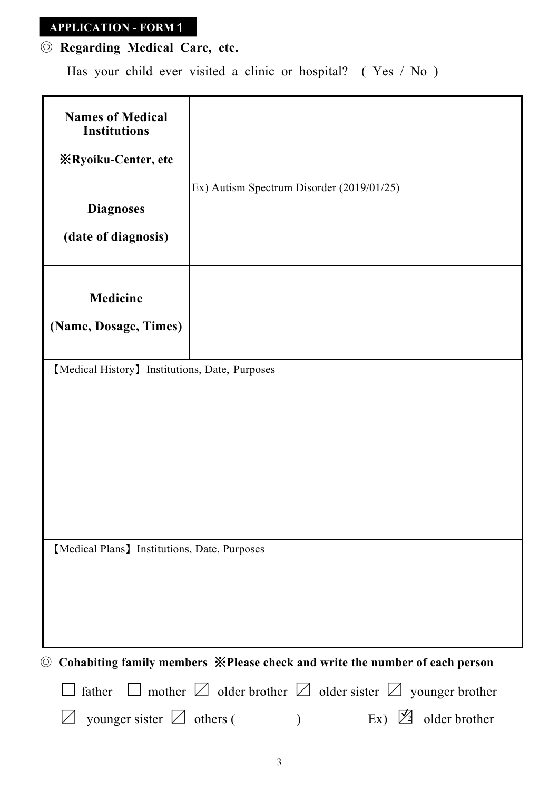# ◎ **Regarding Medical Care, etc.**

Has your child ever visited a clinic or hospital? ( Yes / No )

| <b>Names of Medical</b><br><b>Institutions</b>                                                 |                                                                                      |
|------------------------------------------------------------------------------------------------|--------------------------------------------------------------------------------------|
| <b><i>X</i></b> Ryoiku-Center, etc                                                             |                                                                                      |
| <b>Diagnoses</b>                                                                               | Ex) Autism Spectrum Disorder (2019/01/25)                                            |
| (date of diagnosis)                                                                            |                                                                                      |
| <b>Medicine</b>                                                                                |                                                                                      |
| (Name, Dosage, Times)                                                                          |                                                                                      |
| [Medical History] Institutions, Date, Purposes<br>[Medical Plans] Institutions, Date, Purposes |                                                                                      |
|                                                                                                |                                                                                      |
| $\circledcirc$                                                                                 | Cohabiting family members *Please check and write the number of each person          |
|                                                                                                | father $\Box$ mother $\Box$ older brother $\Box$ older sister $\Box$ younger brother |
| younger sister $\Box$ others (                                                                 | $Ex) \not\!{\mathbb{Z}}$<br>older brother                                            |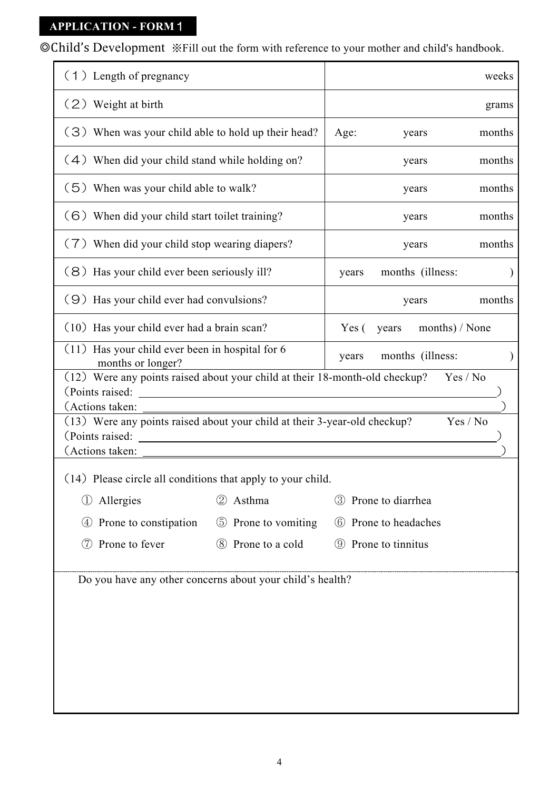◎Child's Development ※Fill out the form with reference to your mother and child's handbook.

| (1) Length of pregnancy                                                                                                                                                                                             |                                                                                                                       |                              | weeks  |  |  |  |
|---------------------------------------------------------------------------------------------------------------------------------------------------------------------------------------------------------------------|-----------------------------------------------------------------------------------------------------------------------|------------------------------|--------|--|--|--|
| (2) Weight at birth                                                                                                                                                                                                 |                                                                                                                       |                              | grams  |  |  |  |
| (3) When was your child able to hold up their head?                                                                                                                                                                 | Age:<br>years                                                                                                         | months                       |        |  |  |  |
| (4) When did your child stand while holding on?                                                                                                                                                                     |                                                                                                                       | years                        | months |  |  |  |
| (5) When was your child able to walk?                                                                                                                                                                               |                                                                                                                       | years                        | months |  |  |  |
| (6) When did your child start toilet training?                                                                                                                                                                      |                                                                                                                       | years                        | months |  |  |  |
| (7) When did your child stop wearing diapers?                                                                                                                                                                       |                                                                                                                       | years                        | months |  |  |  |
| (8) Has your child ever been seriously ill?                                                                                                                                                                         |                                                                                                                       | months (illness:<br>years    |        |  |  |  |
| (9) Has your child ever had convulsions?                                                                                                                                                                            |                                                                                                                       | years                        | months |  |  |  |
| (10) Has your child ever had a brain scan?                                                                                                                                                                          |                                                                                                                       | years months) / None<br>Yes( |        |  |  |  |
| (11) Has your child ever been in hospital for 6                                                                                                                                                                     |                                                                                                                       | months (illness:<br>years    |        |  |  |  |
| months or longer?<br>(12) Were any points raised about your child at their 18-month-old checkup?<br>(Points raised:<br>(Actions taken:<br>(13) Were any points raised about your child at their 3-year-old checkup? | <u> 1980 - Johann Stein, fransk politik (d. 1980)</u>                                                                 | Yes / No<br>Yes / No         |        |  |  |  |
| (Points raised:<br>(Actions taken:                                                                                                                                                                                  | <u> 1980 - Jan Samuel Barbara, martin din shekara ta 1980 - An tsa masa tsara tsa masa tsa masa tsa masa tsa masa</u> |                              |        |  |  |  |
| (14) Please circle all conditions that apply to your child.                                                                                                                                                         |                                                                                                                       |                              |        |  |  |  |
| Allergies<br>$\left(1\right)$                                                                                                                                                                                       | Asthma<br>(2)                                                                                                         | 3 Prone to diarrhea          |        |  |  |  |
| Prone to constipation<br>$\left( 4\right)$                                                                                                                                                                          | 5 Prone to vomiting                                                                                                   | Prone to headaches<br>(6)    |        |  |  |  |
| Prone to fever<br>(7)                                                                                                                                                                                               | 8 Prone to a cold                                                                                                     | <b>9</b> Prone to tinnitus   |        |  |  |  |
| Do you have any other concerns about your child's health?                                                                                                                                                           |                                                                                                                       |                              |        |  |  |  |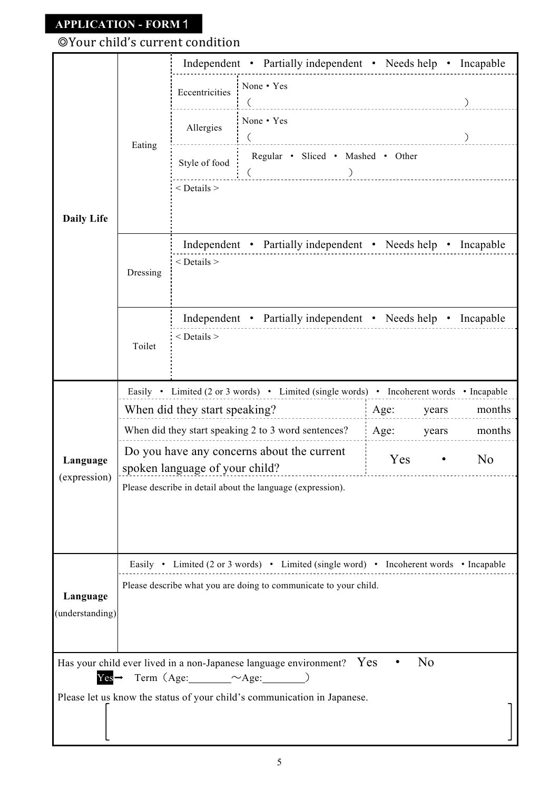# ◎Your child's current condition

| $\mathcal{L}$                                                                           |
|-----------------------------------------------------------------------------------------|
|                                                                                         |
|                                                                                         |
| $\begin{pmatrix} 1 & 1 & 1 \\ 0 & 0 & 1 \end{pmatrix}$                                  |
|                                                                                         |
|                                                                                         |
| Independent • Partially independent • Needs help • Incapable                            |
|                                                                                         |
| Independent • Partially independent • Needs help • Incapable                            |
|                                                                                         |
| Easily • Limited (2 or 3 words) • Limited (single words) • Incoherent words • Incapable |
| Age: years months                                                                       |
| Age: years months                                                                       |
| N <sub>o</sub>                                                                          |
|                                                                                         |
|                                                                                         |
|                                                                                         |
| Easily • Limited (2 or 3 words) • Limited (single word) • Incoherent words • Incapable  |
|                                                                                         |
|                                                                                         |
|                                                                                         |
|                                                                                         |
|                                                                                         |
|                                                                                         |
|                                                                                         |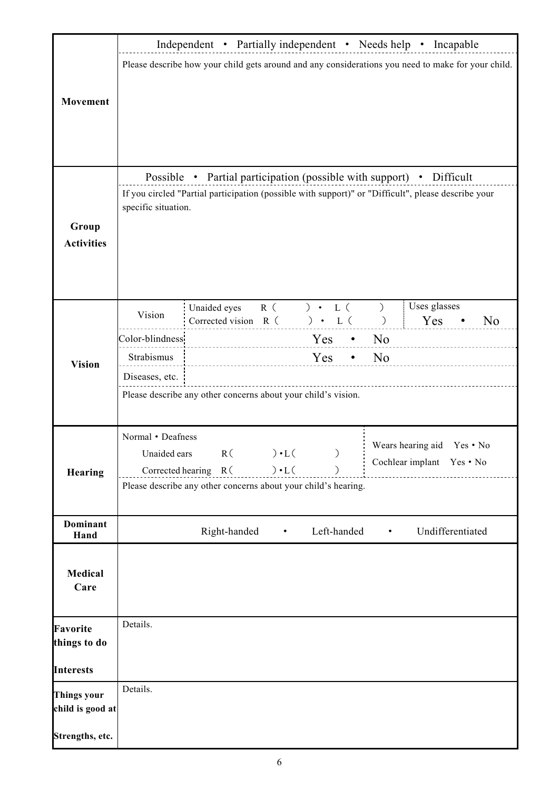|                         | Independent • Partially independent • Needs help • Incapable                                        |                                                                      |     |                 |               |             |                  |                           |          |                |  |
|-------------------------|-----------------------------------------------------------------------------------------------------|----------------------------------------------------------------------|-----|-----------------|---------------|-------------|------------------|---------------------------|----------|----------------|--|
|                         | Please describe how your child gets around and any considerations you need to make for your child.  |                                                                      |     |                 |               |             |                  |                           |          |                |  |
|                         |                                                                                                     |                                                                      |     |                 |               |             |                  |                           |          |                |  |
|                         |                                                                                                     |                                                                      |     |                 |               |             |                  |                           |          |                |  |
| <b>Movement</b>         |                                                                                                     |                                                                      |     |                 |               |             |                  |                           |          |                |  |
|                         |                                                                                                     |                                                                      |     |                 |               |             |                  |                           |          |                |  |
|                         |                                                                                                     |                                                                      |     |                 |               |             |                  |                           |          |                |  |
|                         |                                                                                                     |                                                                      |     |                 |               |             |                  |                           |          |                |  |
|                         |                                                                                                     |                                                                      |     |                 |               |             |                  |                           |          |                |  |
|                         |                                                                                                     | Possible • Partial participation (possible with support) • Difficult |     |                 |               |             |                  |                           |          |                |  |
|                         | If you circled "Partial participation (possible with support)" or "Difficult", please describe your |                                                                      |     |                 |               |             |                  |                           |          |                |  |
|                         | specific situation.                                                                                 |                                                                      |     |                 |               |             |                  |                           |          |                |  |
| Group                   |                                                                                                     |                                                                      |     |                 |               |             |                  |                           |          |                |  |
| <b>Activities</b>       |                                                                                                     |                                                                      |     |                 |               |             |                  |                           |          |                |  |
|                         |                                                                                                     |                                                                      |     |                 |               |             |                  |                           |          |                |  |
|                         |                                                                                                     |                                                                      |     |                 |               |             |                  |                           |          |                |  |
|                         |                                                                                                     |                                                                      |     |                 |               |             |                  |                           |          |                |  |
|                         |                                                                                                     | Unaided eyes                                                         | R ( |                 | ) $\cdot$ L ( |             | $\left( \right)$ | Uses glasses              |          |                |  |
|                         | Vision                                                                                              | Corrected vision R (                                                 |     |                 | ) $\cdot$ L ( |             | $\left( \right)$ | Yes                       |          | N <sub>o</sub> |  |
|                         | Color-blindness                                                                                     |                                                                      |     |                 | $Yes \t•$     |             | N <sub>o</sub>   |                           |          |                |  |
| <b>Vision</b>           | Strabismus                                                                                          |                                                                      |     |                 | Yes           | $\bullet$   | N <sub>o</sub>   |                           |          |                |  |
|                         | Diseases, etc.                                                                                      |                                                                      |     |                 |               |             |                  |                           |          |                |  |
|                         | Please describe any other concerns about your child's vision.                                       |                                                                      |     |                 |               |             |                  |                           |          |                |  |
|                         |                                                                                                     |                                                                      |     |                 |               |             |                  |                           |          |                |  |
|                         |                                                                                                     |                                                                      |     |                 |               |             |                  |                           |          |                |  |
|                         | Normal • Deafness                                                                                   |                                                                      |     |                 |               |             |                  |                           |          |                |  |
|                         | Unaided ears                                                                                        |                                                                      |     | $R() \cdot L()$ | $\big)$       |             |                  | Wears hearing aid         | Yes • No |                |  |
| Hearing                 |                                                                                                     | Corrected hearing R (                                                |     | $) \cdot L($    |               |             |                  | Cochlear implant Yes • No |          |                |  |
|                         | Please describe any other concerns about your child's hearing.                                      |                                                                      |     |                 |               |             |                  |                           |          |                |  |
|                         |                                                                                                     |                                                                      |     |                 |               |             |                  |                           |          |                |  |
|                         |                                                                                                     |                                                                      |     |                 |               |             |                  |                           |          |                |  |
| <b>Dominant</b><br>Hand |                                                                                                     | Right-handed                                                         |     | $\bullet$       |               | Left-handed | ٠                | Undifferentiated          |          |                |  |
|                         |                                                                                                     |                                                                      |     |                 |               |             |                  |                           |          |                |  |
|                         |                                                                                                     |                                                                      |     |                 |               |             |                  |                           |          |                |  |
| <b>Medical</b>          |                                                                                                     |                                                                      |     |                 |               |             |                  |                           |          |                |  |
| Care                    |                                                                                                     |                                                                      |     |                 |               |             |                  |                           |          |                |  |
|                         |                                                                                                     |                                                                      |     |                 |               |             |                  |                           |          |                |  |
| <b>Favorite</b>         | Details.                                                                                            |                                                                      |     |                 |               |             |                  |                           |          |                |  |
| things to do            |                                                                                                     |                                                                      |     |                 |               |             |                  |                           |          |                |  |
|                         |                                                                                                     |                                                                      |     |                 |               |             |                  |                           |          |                |  |
| <b>Interests</b>        |                                                                                                     |                                                                      |     |                 |               |             |                  |                           |          |                |  |
| <b>Things your</b>      | Details.                                                                                            |                                                                      |     |                 |               |             |                  |                           |          |                |  |
| child is good at        |                                                                                                     |                                                                      |     |                 |               |             |                  |                           |          |                |  |
|                         |                                                                                                     |                                                                      |     |                 |               |             |                  |                           |          |                |  |
| Strengths, etc.         |                                                                                                     |                                                                      |     |                 |               |             |                  |                           |          |                |  |